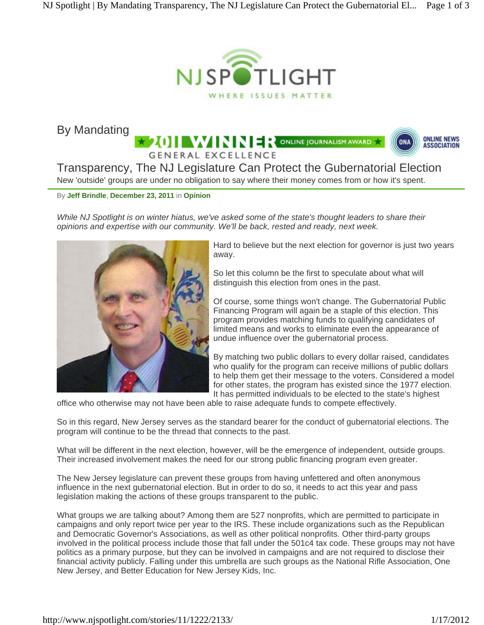

By Mandating

**2011 WINNER** ONLINE JOURNALISM AWARD



Transparency, The NJ Legislature Can Protect the Gubernatorial Election New 'outside' groups are under no obligation to say where their money comes from or how it's spent.

**GENERAL EXCELLENCE** 

By **Jeff Brindle**, **December 23, 2011** in **Opinion**

*While NJ Spotlight is on winter hiatus, we've asked some of the state's thought leaders to share their opinions and expertise with our community. We'll be back, rested and ready, next week.*



Hard to believe but the next election for governor is just two years away.

So let this column be the first to speculate about what will distinguish this election from ones in the past.

Of course, some things won't change. The Gubernatorial Public Financing Program will again be a staple of this election. This program provides matching funds to qualifying candidates of limited means and works to eliminate even the appearance of undue influence over the gubernatorial process.

By matching two public dollars to every dollar raised, candidates who qualify for the program can receive millions of public dollars to help them get their message to the voters. Considered a model for other states, the program has existed since the 1977 election. It has permitted individuals to be elected to the state's highest

office who otherwise may not have been able to raise adequate funds to compete effectively.

So in this regard, New Jersey serves as the standard bearer for the conduct of gubernatorial elections. The program will continue to be the thread that connects to the past.

What will be different in the next election, however, will be the emergence of independent, outside groups. Their increased involvement makes the need for our strong public financing program even greater.

The New Jersey legislature can prevent these groups from having unfettered and often anonymous influence in the next gubernatorial election. But in order to do so, it needs to act this year and pass legislation making the actions of these groups transparent to the public.

What groups we are talking about? Among them are 527 nonprofits, which are permitted to participate in campaigns and only report twice per year to the IRS. These include organizations such as the Republican and Democratic Governor's Associations, as well as other political nonprofits. Other third-party groups involved in the political process include those that fall under the 501c4 tax code. These groups may not have politics as a primary purpose, but they can be involved in campaigns and are not required to disclose their financial activity publicly. Falling under this umbrella are such groups as the National Rifle Association, One New Jersey, and Better Education for New Jersey Kids, Inc.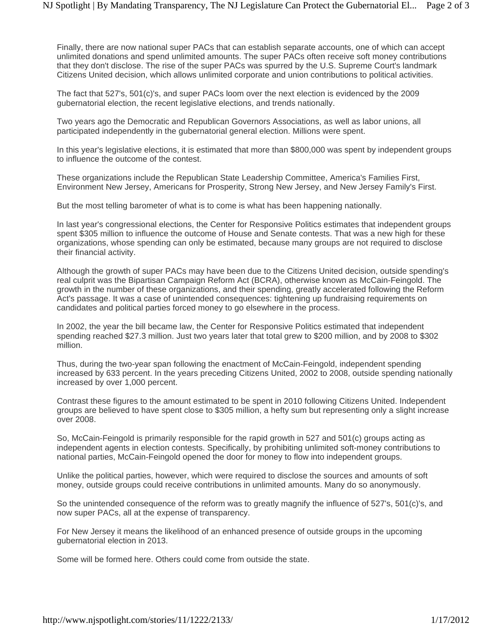Finally, there are now national super PACs that can establish separate accounts, one of which can accept unlimited donations and spend unlimited amounts. The super PACs often receive soft money contributions that they don't disclose. The rise of the super PACs was spurred by the U.S. Supreme Court's landmark Citizens United decision, which allows unlimited corporate and union contributions to political activities.

The fact that 527's, 501(c)'s, and super PACs loom over the next election is evidenced by the 2009 gubernatorial election, the recent legislative elections, and trends nationally.

Two years ago the Democratic and Republican Governors Associations, as well as labor unions, all participated independently in the gubernatorial general election. Millions were spent.

In this year's legislative elections, it is estimated that more than \$800,000 was spent by independent groups to influence the outcome of the contest.

These organizations include the Republican State Leadership Committee, America's Families First, Environment New Jersey, Americans for Prosperity, Strong New Jersey, and New Jersey Family's First.

But the most telling barometer of what is to come is what has been happening nationally.

In last year's congressional elections, the Center for Responsive Politics estimates that independent groups spent \$305 million to influence the outcome of House and Senate contests. That was a new high for these organizations, whose spending can only be estimated, because many groups are not required to disclose their financial activity.

Although the growth of super PACs may have been due to the Citizens United decision, outside spending's real culprit was the Bipartisan Campaign Reform Act (BCRA), otherwise known as McCain-Feingold. The growth in the number of these organizations, and their spending, greatly accelerated following the Reform Act's passage. It was a case of unintended consequences: tightening up fundraising requirements on candidates and political parties forced money to go elsewhere in the process.

In 2002, the year the bill became law, the Center for Responsive Politics estimated that independent spending reached \$27.3 million. Just two years later that total grew to \$200 million, and by 2008 to \$302 million.

Thus, during the two-year span following the enactment of McCain-Feingold, independent spending increased by 633 percent. In the years preceding Citizens United, 2002 to 2008, outside spending nationally increased by over 1,000 percent.

Contrast these figures to the amount estimated to be spent in 2010 following Citizens United. Independent groups are believed to have spent close to \$305 million, a hefty sum but representing only a slight increase over 2008.

So, McCain-Feingold is primarily responsible for the rapid growth in 527 and 501(c) groups acting as independent agents in election contests. Specifically, by prohibiting unlimited soft-money contributions to national parties, McCain-Feingold opened the door for money to flow into independent groups.

Unlike the political parties, however, which were required to disclose the sources and amounts of soft money, outside groups could receive contributions in unlimited amounts. Many do so anonymously.

So the unintended consequence of the reform was to greatly magnify the influence of 527's, 501(c)'s, and now super PACs, all at the expense of transparency.

For New Jersey it means the likelihood of an enhanced presence of outside groups in the upcoming gubernatorial election in 2013.

Some will be formed here. Others could come from outside the state.